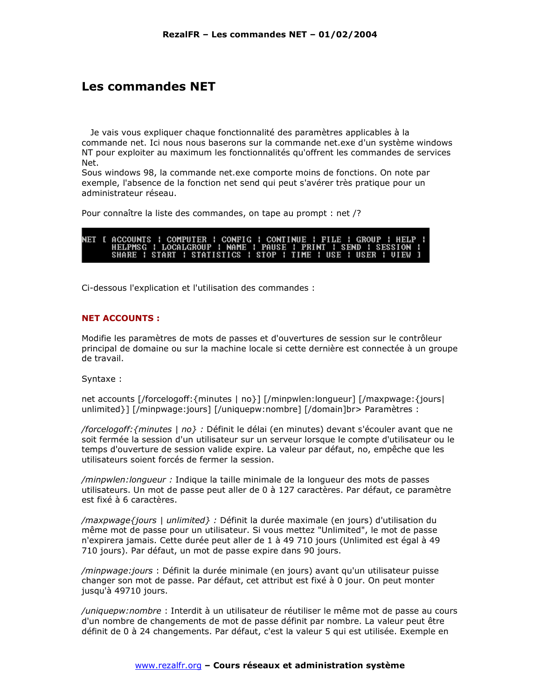# **Les commandes NET**

Je vais vous expliquer chaque fonctionnalité des paramètres applicables à la commande net. Ici nous nous baserons sur la commande net.exe d'un système windows NT pour exploiter au maximum les fonctionnalités qu'offrent les commandes de services Net.

Sous windows 98, la commande net.exe comporte moins de fonctions. On note par exemple, l'absence de la fonction net send qui peut s'avérer très pratique pour un administrateur réseau.

Pour connaître la liste des commandes, on tape au prompt : net /?

|  | NET [ ACCOUNTS   COMPUTER   CONFIG   CONTINUE   FILE   GROUP   HELP |  |  |  |  |  |  |  |
|--|---------------------------------------------------------------------|--|--|--|--|--|--|--|
|  | HELPMSG : LOCALGROUP : NAME : PAUSE : PRINT : SEND : SESSION :      |  |  |  |  |  |  |  |
|  | SHARE ! START ! STATISTICS ! STOP ! TIME ! USE ! USER ! UIEW I      |  |  |  |  |  |  |  |

Ci-dessous l'explication et l'utilisation des commandes :

## **NET ACCOUNTS:**

Modifie les paramètres de mots de passes et d'ouvertures de session sur le contrôleur principal de domaine ou sur la machine locale si cette dernière est connectée à un groupe de travail.

Syntaxe:

net accounts [/forcelogoff: {minutes | no}] [/minpwlen: longueur] [/maxpwage: {jours] unlimited }] [/minpwage:jours] [/uniquepw:nombre] [/domain]br> Paramètres :

/forcelogoff: {minutes | no} : Définit le délai (en minutes) devant s'écouler avant que ne soit fermée la session d'un utilisateur sur un serveur lorsque le compte d'utilisateur ou le temps d'ouverture de session valide expire. La valeur par défaut, no, empêche que les utilisateurs soient forcés de fermer la session.

/minpwlen: longueur : Indique la taille minimale de la longueur des mots de passes utilisateurs. Un mot de passe peut aller de 0 à 127 caractères. Par défaut, ce paramètre est fixé à 6 caractères.

/maxpwage {jours | unlimited} : Définit la durée maximale (en jours) d'utilisation du même mot de passe pour un utilisateur. Si vous mettez "Unlimited", le mot de passe n'expirera jamais. Cette durée peut aller de 1 à 49 710 jours (Unlimited est égal à 49 710 jours). Par défaut, un mot de passe expire dans 90 jours.

/minpwage: jours : Définit la durée minimale (en jours) avant qu'un utilisateur puisse changer son mot de passe. Par défaut, cet attribut est fixé à 0 jour. On peut monter jusqu'à 49710 jours.

/uniquepw: nombre : Interdit à un utilisateur de réutiliser le même mot de passe au cours d'un nombre de changements de mot de passe définit par nombre. La valeur peut être définit de 0 à 24 changements. Par défaut, c'est la valeur 5 qui est utilisée. Exemple en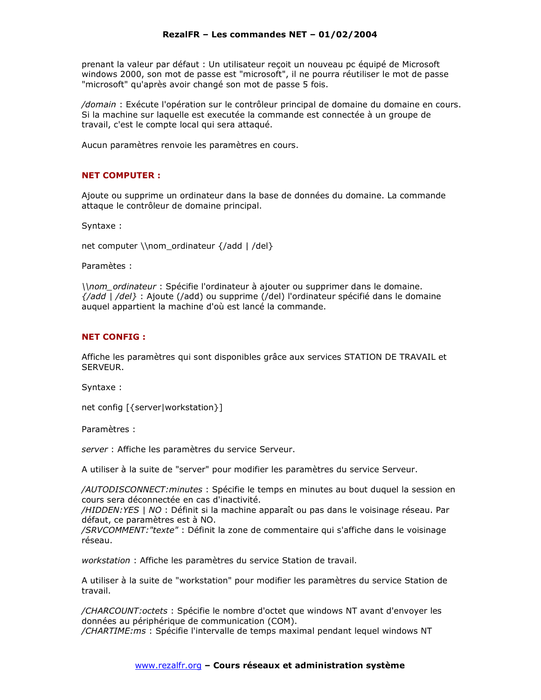prenant la valeur par défaut : Un utilisateur recoit un nouveau pc équipé de Microsoft windows 2000, son mot de passe est "microsoft", il ne pourra réutiliser le mot de passe "microsoft" qu'après avoir changé son mot de passe 5 fois.

/domain : Exécute l'opération sur le contrôleur principal de domaine du domaine en cours. Si la machine sur laquelle est executée la commande est connectée à un groupe de travail, c'est le compte local qui sera attaqué.

Aucun paramètres renvoie les paramètres en cours.

## **NET COMPUTER:**

Ajoute ou supprime un ordinateur dans la base de données du domaine. La commande attaque le contrôleur de domaine principal.

Syntaxe:

net computer \\nom\_ordinateur {/add | /del}

Paramètes :

\\nom\_ordinateur: Spécifie l'ordinateur à ajouter ou supprimer dans le domaine. {/add | /del} : Ajoute (/add) ou supprime (/del) l'ordinateur spécifié dans le domaine auquel appartient la machine d'où est lancé la commande.

#### **NET CONFIG:**

Affiche les paramètres qui sont disponibles grâce aux services STATION DE TRAVAIL et SFRVFUR.

Syntaxe:

net config [{server|workstation}]

Paramètres :

server : Affiche les paramètres du service Serveur.

A utiliser à la suite de "server" pour modifier les paramètres du service Serveur.

/AUTODISCONNECT: minutes : Spécifie le temps en minutes au bout duquel la session en cours sera déconnectée en cas d'inactivité.

/HIDDEN: YES | NO : Définit si la machine apparaît ou pas dans le voisinage réseau. Par défaut, ce paramètres est à NO.

/SRVCOMMENT: "texte" : Définit la zone de commentaire qui s'affiche dans le voisinage réseau.

workstation : Affiche les paramètres du service Station de travail.

A utiliser à la suite de "workstation" pour modifier les paramètres du service Station de travail.

/CHARCOUNT: octets : Spécifie le nombre d'octet que windows NT avant d'envoyer les données au périphérique de communication (COM).

/CHARTIME:ms : Spécifie l'intervalle de temps maximal pendant lequel windows NT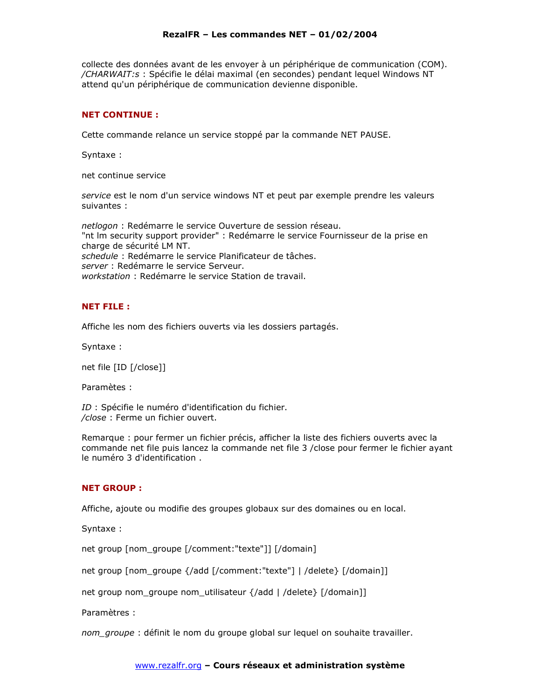collecte des données avant de les envoyer à un périphérique de communication (COM). /CHARWAIT:s : Spécifie le délai maximal (en secondes) pendant lequel Windows NT attend qu'un périphérique de communication devienne disponible.

#### **NET CONTINUE:**

Cette commande relance un service stoppé par la commande NET PAUSE.

Syntaxe:

net continue service

service est le nom d'un service windows NT et peut par exemple prendre les valeurs suivantes :

netlogon : Redémarre le service Ouverture de session réseau. "nt Im security support provider" : Redémarre le service Fournisseur de la prise en charge de sécurité LM NT. schedule : Redémarre le service Planificateur de tâches. server : Redémarre le service Serveur. workstation : Redémarre le service Station de travail.

## **NET FILE:**

Affiche les nom des fichiers ouverts via les dossiers partagés.

Syntaxe:

net file [ID [/close]]

Paramètes :

ID : Spécifie le numéro d'identification du fichier. /close : Ferme un fichier ouvert.

Remarque : pour fermer un fichier précis, afficher la liste des fichiers ouverts avec la commande net file puis lancez la commande net file 3 /close pour fermer le fichier ayant le numéro 3 d'identification.

#### **NET GROUP:**

Affiche, ajoute ou modifie des groupes globaux sur des domaines ou en local.

Syntaxe:

net group [nom\_groupe [/comment:"texte"]] [/domain]

net group [nom groupe {/add [/comment:"texte"] | /delete} [/domain]]

net group nom\_groupe nom\_utilisateur {/add | /delete} [/domain]]

Paramètres :

nom groupe : définit le nom du groupe global sur lequel on souhaite travailler.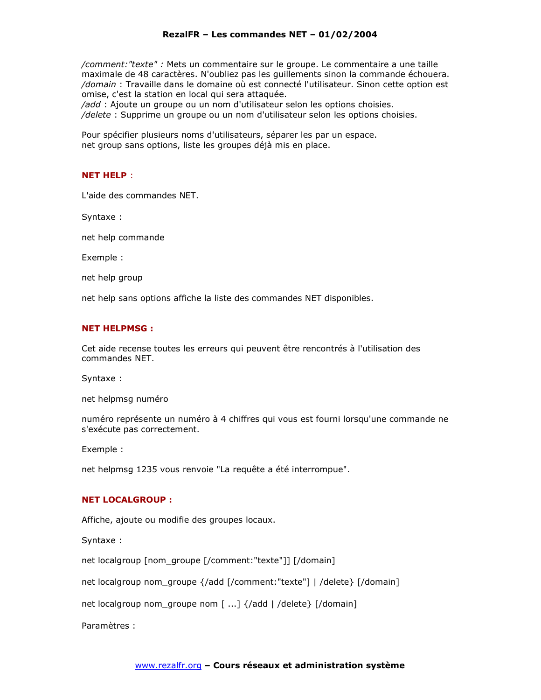/comment: "texte" : Mets un commentaire sur le groupe. Le commentaire a une taille maximale de 48 caractères. N'oubliez pas les quillements sinon la commande échouera. /domain : Travaille dans le domaine où est connecté l'utilisateur. Sinon cette option est omise, c'est la station en local qui sera attaquée.

/add : Ajoute un groupe ou un nom d'utilisateur selon les options choisies. /delete : Supprime un groupe ou un nom d'utilisateur selon les options choisies.

Pour spécifier plusieurs noms d'utilisateurs, séparer les par un espace. net group sans options, liste les groupes déjà mis en place.

## **NET HELP:**

L'aide des commandes NET.

Syntaxe:

net help commande

Exemple:

net help group

net help sans options affiche la liste des commandes NET disponibles.

## **NET HELPMSG:**

Cet aide recense toutes les erreurs qui peuvent être rencontrés à l'utilisation des commandes NET.

Syntaxe:

net helpmsg numéro

numéro représente un numéro à 4 chiffres qui vous est fourni lorsqu'une commande ne s'exécute pas correctement.

Exemple :

net helpmsg 1235 vous renvoie "La requête a été interrompue".

## **NET LOCALGROUP:**

Affiche, ajoute ou modifie des groupes locaux.

Syntaxe:

net localgroup [nom groupe [/comment:"texte"]] [/domain]

net localgroup nom\_groupe {/add [/comment:"texte"] | /delete} [/domain]

net localgroup nom\_groupe nom [ ...] {/add | /delete} [/domain]

Paramètres :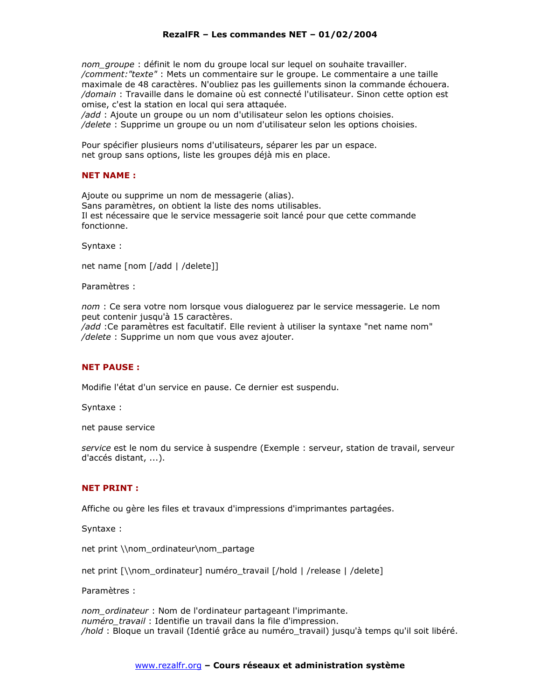nom groupe : définit le nom du groupe local sur lequel on souhaite travailler. /comment: "texte" : Mets un commentaire sur le groupe. Le commentaire a une taille maximale de 48 caractères. N'oubliez pas les quillements sinon la commande échouera. /domain : Travaille dans le domaine où est connecté l'utilisateur. Sinon cette option est omise, c'est la station en local qui sera attaquée.

/add : Ajoute un groupe ou un nom d'utilisateur selon les options choisies. /delete : Supprime un groupe ou un nom d'utilisateur selon les options choisies.

Pour spécifier plusieurs noms d'utilisateurs, séparer les par un espace. net group sans options, liste les groupes déjà mis en place.

## **NET NAME:**

Ajoute ou supprime un nom de messagerie (alias). Sans paramètres, on obtient la liste des noms utilisables. Il est nécessaire que le service messagerie soit lancé pour que cette commande fonctionne.

Syntaxe:

net name [nom [/add | /delete]]

Paramètres :

nom : Ce sera votre nom lorsque vous dialoguerez par le service messagerie. Le nom peut contenir jusqu'à 15 caractères.

/add : Ce paramètres est facultatif. Elle revient à utiliser la syntaxe "net name nom" /delete : Supprime un nom que vous avez ajouter.

# **NET PAUSE:**

Modifie l'état d'un service en pause. Ce dernier est suspendu.

Syntaxe:

net pause service

service est le nom du service à suspendre (Exemple : serveur, station de travail, serveur d'accés distant, ...).

#### **NET PRINT:**

Affiche ou gère les files et travaux d'impressions d'imprimantes partagées.

Syntaxe:

net print \\nom ordinateur\nom partage

net print [\\nom\_ordinateur] numéro\_travail [/hold | /release | /delete]

Paramètres :

nom ordinateur : Nom de l'ordinateur partageant l'imprimante. numéro travail : Identifie un travail dans la file d'impression. /hold : Bloque un travail (Identié grâce au numéro\_travail) jusqu'à temps qu'il soit libéré.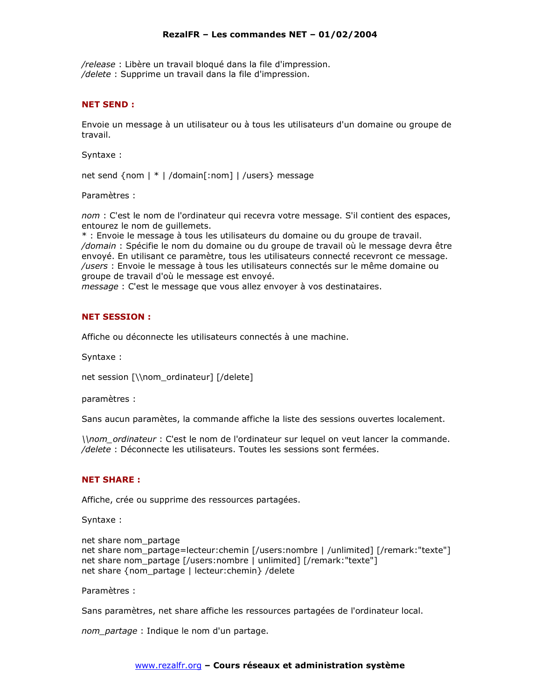/release : Libère un travail bloqué dans la file d'impression. /delete: Supprime un travail dans la file d'impression.

## **NET SEND:**

Envoie un message à un utilisateur ou à tous les utilisateurs d'un domaine ou groupe de travail.

Syntaxe:

net send {nom | \* | /domain[:nom] | /users} message

Paramètres :

nom : C'est le nom de l'ordinateur qui recevra votre message. S'il contient des espaces, entourez le nom de quillemets.

\* : Envoie le message à tous les utilisateurs du domaine ou du groupe de travail. /domain : Spécifie le nom du domaine ou du groupe de travail où le message devra être envoyé. En utilisant ce paramètre, tous les utilisateurs connecté recevront ce message. /users : Envoie le message à tous les utilisateurs connectés sur le même domaine ou groupe de travail d'où le message est envoyé.

message : C'est le message que vous allez envoyer à vos destinataires.

## **NET SESSION:**

Affiche ou déconnecte les utilisateurs connectés à une machine.

Syntaxe:

net session [\\nom ordinateur] [/delete]

paramètres :

Sans aucun paramètes, la commande affiche la liste des sessions ouvertes localement.

\\nom\_ordinateur : C'est le nom de l'ordinateur sur lequel on veut lancer la commande. /delete : Déconnecte les utilisateurs. Toutes les sessions sont fermées.

#### **NET SHARE:**

Affiche, crée ou supprime des ressources partagées.

Syntaxe:

```
net share nom_partage
net share nom partage=lecteur:chemin [/users:nombre | /unlimited] [/remark:"texte"]
net share nom partage [/users:nombre | unlimited] [/remark:"texte"]
net share {nom partage | lecteur: chemin} / delete
```
Paramètres :

Sans paramètres, net share affiche les ressources partagées de l'ordinateur local.

nom\_partage : Indique le nom d'un partage.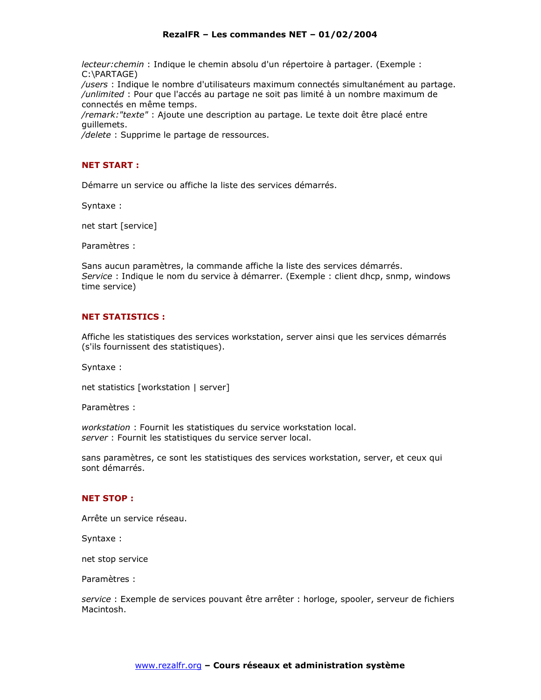lecteur: chemin : Indique le chemin absolu d'un répertoire à partager. (Exemple : C:\PARTAGE)

/users : Indique le nombre d'utilisateurs maximum connectés simultanément au partage. /unlimited : Pour que l'accés au partage ne soit pas limité à un nombre maximum de connectés en même temps.

/remark: "texte" : Ajoute une description au partage. Le texte doit être placé entre quillemets.

/delete : Supprime le partage de ressources.

# **NET START:**

Démarre un service ou affiche la liste des services démarrés.

Syntaxe:

net start [service]

Paramètres :

Sans aucun paramètres, la commande affiche la liste des services démarrés. Service : Indique le nom du service à démarrer. (Exemple : client dhcp, snmp, windows time service)

# **NET STATISTICS:**

Affiche les statistiques des services workstation, server ainsi que les services démarrés (s'ils fournissent des statistiques).

Syntaxe:

net statistics [workstation | server]

Paramètres :

workstation: Fournit les statistiques du service workstation local. server : Fournit les statistiques du service server local.

sans paramètres, ce sont les statistiques des services workstation, server, et ceux qui sont démarrés.

# **NET STOP:**

Arrête un service réseau.

Syntaxe:

net stop service

Paramètres :

service : Exemple de services pouvant être arrêter : horloge, spooler, serveur de fichiers Macintosh.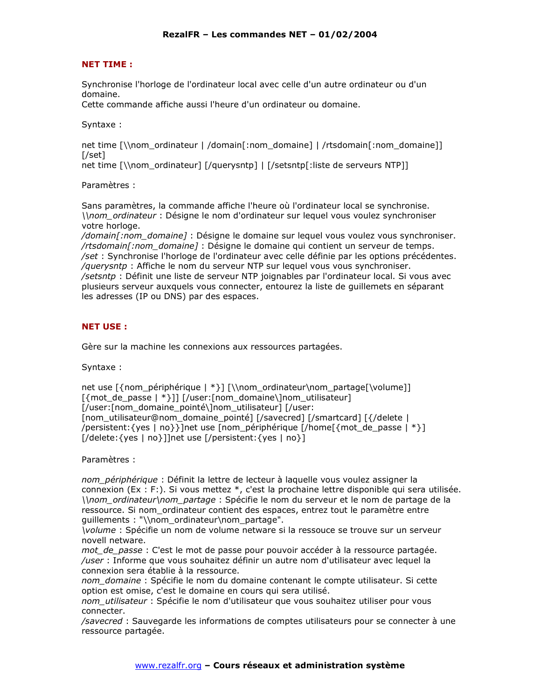# **NET TIME:**

Synchronise l'horloge de l'ordinateur local avec celle d'un autre ordinateur ou d'un domaine.

Cette commande affiche aussi l'heure d'un ordinateur ou domaine.

Syntaxe:

net time [\\nom\_ordinateur | /domain[:nom\_domaine] | /rtsdomain[:nom\_domaine]]  $[|Set]$ 

net time [\\nom ordinateur] [/querysntp] | [/setsntp[:liste de serveurs NTP]]

Paramètres :

Sans paramètres, la commande affiche l'heure où l'ordinateur local se synchronise. \\nom\_ordinateur : Désigne le nom d'ordinateur sur lequel vous voulez synchroniser votre horloge.

/domain[:nom domaine] : Désigne le domaine sur lequel vous voulez vous synchroniser. /rtsdomain [: nom\_domaine] : Désigne le domaine qui contient un serveur de temps. /set : Synchronise l'horloge de l'ordinateur avec celle définie par les options précédentes. /querysntp : Affiche le nom du serveur NTP sur lequel vous vous synchroniser. /setsntp : Définit une liste de serveur NTP joignables par l'ordinateur local. Si vous avec plusieurs serveur auxquels vous connecter, entourez la liste de guillemets en séparant les adresses (IP ou DNS) par des espaces.

# **NET USE:**

Gère sur la machine les connexions aux ressources partagées.

Syntaxe:

net use [{nom périphérique | \*}] [\\nom ordinateur\nom partage[\volume]] [/user:[nom\_domaine\_pointé\]nom\_utilisateur] [/user: [nom\_utilisateur@nom\_domaine\_pointé] [/savecred] [/smartcard] [{/delete | /persistent: {yes | no}}]net use [nom\_périphérique [/home[{mot\_de\_passe | \*}] [/delete: {yes | no}]]net use [/persistent: {yes | no}]

Paramètres :

nom périphérique : Définit la lettre de lecteur à laquelle vous voulez assigner la connexion (Ex : F:). Si vous mettez \*, c'est la prochaine lettre disponible qui sera utilisée. \\nom\_ordinateur\nom\_partage : Spécifie le nom du serveur et le nom de partage de la ressource. Si nom ordinateur contient des espaces, entrez tout le paramètre entre quillements : "\\nom ordinateur\nom partage".

*Volume : Spécifie un nom de volume netware si la ressouce se trouve sur un serveur* novell netware.

mot de passe : C'est le mot de passe pour pouvoir accéder à la ressource partagée. /user : Informe que vous souhaitez définir un autre nom d'utilisateur avec lequel la connexion sera établie à la ressource.

nom domaine : Spécifie le nom du domaine contenant le compte utilisateur. Si cette option est omise, c'est le domaine en cours qui sera utilisé.

nom utilisateur : Spécifie le nom d'utilisateur que vous souhaitez utiliser pour vous connecter.

/savecred : Sauvegarde les informations de comptes utilisateurs pour se connecter à une ressource partagée.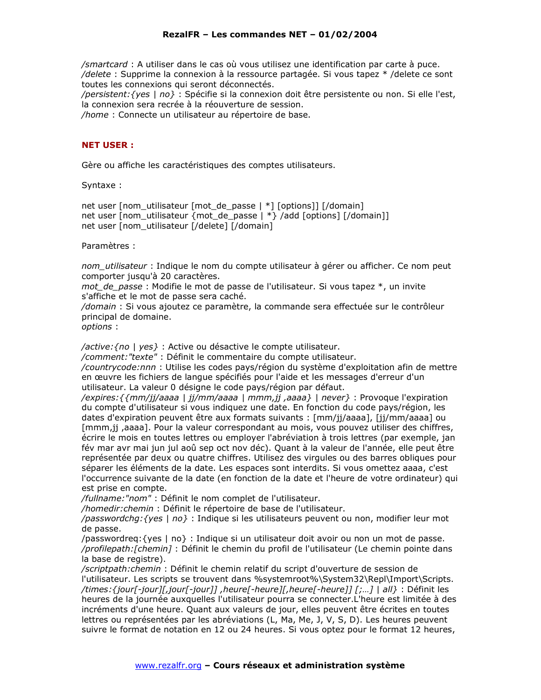/smartcard : A utiliser dans le cas où vous utilisez une identification par carte à puce. /delete : Supprime la connexion à la ressource partagée. Si vous tapez \* /delete ce sont toutes les connexions qui seront déconnectés.

/persistent: {yes | no} : Spécifie si la connexion doit être persistente ou non. Si elle l'est, la connexion sera recrée à la réouverture de session.

/home : Connecte un utilisateur au répertoire de base.

## **NET USER:**

Gère ou affiche les caractéristiques des comptes utilisateurs.

Syntaxe:

net user [nom\_utilisateur [mot\_de\_passe | \*] [options]] [/domain] net user [nom\_utilisateur {mot\_de\_passe | \*} /add [options] [/domain]] net user [nom utilisateur [/delete] [/domain]

#### Paramètres :

nom utilisateur : Indique le nom du compte utilisateur à gérer ou afficher. Ce nom peut comporter jusqu'à 20 caractères.

mot\_de\_passe : Modifie le mot de passe de l'utilisateur. Si vous tapez \*, un invite s'affiche et le mot de passe sera caché.

/domain : Si vous ajoutez ce paramètre, la commande sera effectuée sur le contrôleur principal de domaine.

options:

/active: {no | yes} : Active ou désactive le compte utilisateur.

/comment: "texte" : Définit le commentaire du compte utilisateur.

/countrycode:nnn: Utilise les codes pays/région du système d'exploitation afin de mettre en œuvre les fichiers de langue spécifiés pour l'aide et les messages d'erreur d'un utilisateur. La valeur 0 désigne le code pays/région par défaut.

/expires: { {mm/jj/aaaa | jj/mm/aaaa | mmm, jj , aaaa } | never } : Provoque l'expiration du compte d'utilisateur si vous indiquez une date. En fonction du code pays/région, les dates d'expiration peuvent être aux formats suivants : [mm/jj/aaaa], [jj/mm/aaaa] ou [mmm,jj ,aaaa]. Pour la valeur correspondant au mois, vous pouvez utiliser des chiffres, écrire le mois en toutes lettres ou employer l'abréviation à trois lettres (par exemple, jan fév mar avr mai jun jul aoû sep oct nov déc). Quant à la valeur de l'année, elle peut être représentée par deux ou quatre chiffres. Utilisez des virgules ou des barres obliques pour séparer les éléments de la date. Les espaces sont interdits. Si vous omettez aaaa, c'est l'occurrence suivante de la date (en fonction de la date et l'heure de votre ordinateur) qui est prise en compte.

/fullname: "nom" : Définit le nom complet de l'utilisateur.

/homedir: chemin : Définit le répertoire de base de l'utilisateur.

/passwordchg: {yes | no} : Indique si les utilisateurs peuvent ou non, modifier leur mot de passe.

/passwordreg: {yes | no} : Indique si un utilisateur doit avoir ou non un mot de passe. /profilepath: [chemin] : Définit le chemin du profil de l'utilisateur (Le chemin pointe dans la base de registre).

/scriptpath: chemin : Définit le chemin relatif du script d'ouverture de session de l'utilisateur. Les scripts se trouvent dans %systemroot%\System32\Repl\Import\Scripts. /times: {jour[-jour][,jour[-jour]], heure[-heure][,heure[-heure]] [;...] | all} : Définit les heures de la journée auxquelles l'utilisateur pourra se connecter. L'heure est limitée à des incréments d'une heure. Quant aux valeurs de jour, elles peuvent être écrites en toutes lettres ou représentées par les abréviations (L, Ma, Me, J, V, S, D). Les heures peuvent suivre le format de notation en 12 ou 24 heures. Si vous optez pour le format 12 heures,